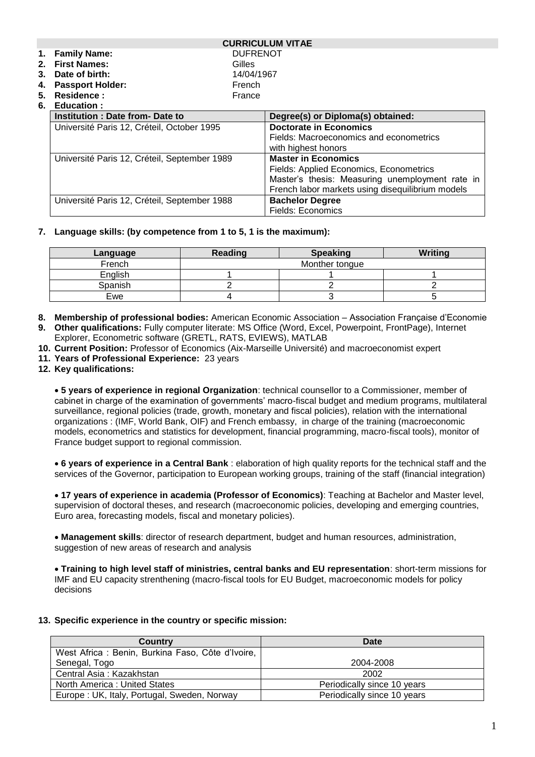|                |                                                                                              |                 | <b>CURRICULUM VITAE</b>                          |
|----------------|----------------------------------------------------------------------------------------------|-----------------|--------------------------------------------------|
|                | 1. Family Name:                                                                              | <b>DUFRENOT</b> |                                                  |
|                | 2. First Names:                                                                              | Gilles          |                                                  |
|                | 3. Date of birth:                                                                            | 14/04/1967      |                                                  |
| 4.             | <b>Passport Holder:</b>                                                                      | French          |                                                  |
| 5.             | Residence:                                                                                   | France          |                                                  |
| 6. Education : |                                                                                              |                 |                                                  |
|                | Institution: Date from-Date to                                                               |                 | Degree(s) or Diploma(s) obtained:                |
|                | Université Paris 12, Créteil, October 1995                                                   |                 | <b>Doctorate in Economics</b>                    |
|                |                                                                                              |                 | Fields: Macroeconomics and econometrics          |
|                | Université Paris 12, Créteil, September 1989<br>Université Paris 12, Créteil, September 1988 |                 | with highest honors                              |
|                |                                                                                              |                 | <b>Master in Economics</b>                       |
|                |                                                                                              |                 | Fields: Applied Economics, Econometrics          |
|                |                                                                                              |                 | Master's thesis: Measuring unemployment rate in  |
|                |                                                                                              |                 | French labor markets using disequilibrium models |
|                |                                                                                              |                 | <b>Bachelor Degree</b>                           |
|                |                                                                                              |                 | <b>Fields: Economics</b>                         |

### **7. Language skills: (by competence from 1 to 5, 1 is the maximum):**

| Language | Reading | Writing<br><b>Speaking</b> |  |
|----------|---------|----------------------------|--|
| French   |         | Monther tongue             |  |
| English  |         |                            |  |
| Spanish  |         |                            |  |
| Ewe      |         |                            |  |

- **8. Membership of professional bodies:** American Economic Association Association Française d'Economie
- **9. Other qualifications:** Fully computer literate: MS Office (Word, Excel, Powerpoint, FrontPage), Internet Explorer, Econometric software (GRETL, RATS, EVIEWS), MATLAB
- **10. Current Position:** Professor of Economics (Aix-Marseille Université) and macroeconomist expert
- **11. Years of Professional Experience:** 23 years
- **12. Key qualifications:**

• **5 years of experience in regional Organization**: technical counsellor to a Commissioner, member of cabinet in charge of the examination of governments' macro-fiscal budget and medium programs, multilateral surveillance, regional policies (trade, growth, monetary and fiscal policies), relation with the international organizations : (IMF, World Bank, OIF) and French embassy, in charge of the training (macroeconomic models, econometrics and statistics for development, financial programming, macro-fiscal tools), monitor of France budget support to regional commission.

• **6 years of experience in a Central Bank** : elaboration of high quality reports for the technical staff and the services of the Governor, participation to European working groups, training of the staff (financial integration)

• **17 years of experience in academia (Professor of Economics)**: Teaching at Bachelor and Master level, supervision of doctoral theses, and research (macroeconomic policies, developing and emerging countries, Euro area, forecasting models, fiscal and monetary policies).

• **Management skills**: director of research department, budget and human resources, administration, suggestion of new areas of research and analysis

• **Training to high level staff of ministries, central banks and EU representation**: short-term missions for IMF and EU capacity strenthening (macro-fiscal tools for EU Budget, macroeconomic models for policy decisions

#### **13. Specific experience in the country or specific mission:**

| <b>Country</b>                                   | Date                        |
|--------------------------------------------------|-----------------------------|
| West Africa: Benin, Burkina Faso, Côte d'Ivoire, |                             |
| Senegal, Togo                                    | 2004-2008                   |
| Central Asia: Kazakhstan                         | 2002                        |
| North America: United States                     | Periodically since 10 years |
| Europe: UK, Italy, Portugal, Sweden, Norway      | Periodically since 10 years |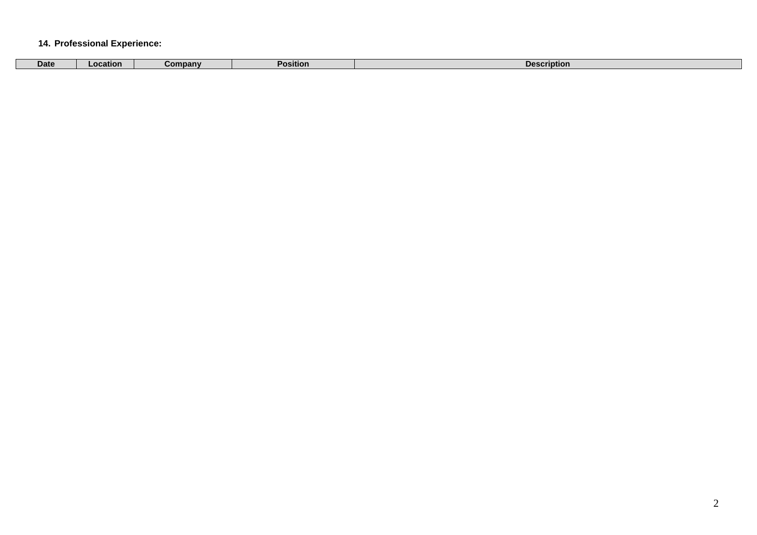### **14. Professional Experience:**

| ompany<br>sition<br>Date<br>Pos.<br><b>Descrir</b><br>riptior.<br>Location |  |  |  |
|----------------------------------------------------------------------------|--|--|--|
|                                                                            |  |  |  |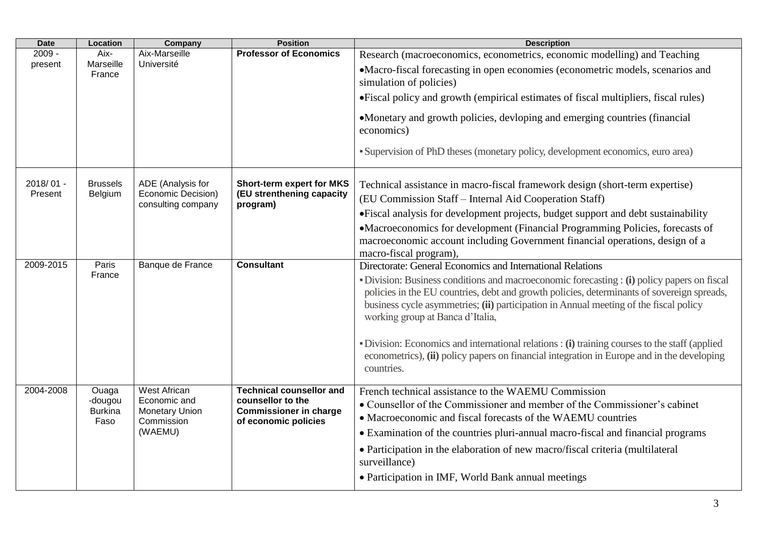| <b>Date</b>          | Location                                   | Company                                                                               | <b>Position</b>                                                                                               | <b>Description</b>                                                                                                                                                                                                                                                                                                                                                                                                                                                                                                                                                                                 |
|----------------------|--------------------------------------------|---------------------------------------------------------------------------------------|---------------------------------------------------------------------------------------------------------------|----------------------------------------------------------------------------------------------------------------------------------------------------------------------------------------------------------------------------------------------------------------------------------------------------------------------------------------------------------------------------------------------------------------------------------------------------------------------------------------------------------------------------------------------------------------------------------------------------|
| $2009 -$<br>present  | Aix-<br>Marseille<br>France                | Aix-Marseille<br>Université                                                           | <b>Professor of Economics</b>                                                                                 | Research (macroeconomics, econometrics, economic modelling) and Teaching<br>•Macro-fiscal forecasting in open economies (econometric models, scenarios and<br>simulation of policies)<br>• Fiscal policy and growth (empirical estimates of fiscal multipliers, fiscal rules)<br>•Monetary and growth policies, devloping and emerging countries (financial                                                                                                                                                                                                                                        |
|                      |                                            |                                                                                       |                                                                                                               | economics)<br>• Supervision of PhD theses (monetary policy, development economics, euro area)                                                                                                                                                                                                                                                                                                                                                                                                                                                                                                      |
| 2018/01 -<br>Present | <b>Brussels</b><br>Belgium                 | ADE (Analysis for<br>Economic Decision)<br>consulting company                         | <b>Short-term expert for MKS</b><br>(EU strenthening capacity<br>program)                                     | Technical assistance in macro-fiscal framework design (short-term expertise)<br>(EU Commission Staff - Internal Aid Cooperation Staff)<br>• Fiscal analysis for development projects, budget support and debt sustainability<br>•Macroeconomics for development (Financial Programming Policies, forecasts of<br>macroeconomic account including Government financial operations, design of a<br>macro-fiscal program),                                                                                                                                                                            |
| 2009-2015            | Paris<br>France                            | Banque de France                                                                      | <b>Consultant</b>                                                                                             | Directorate: General Economics and International Relations<br>• Division: Business conditions and macroeconomic forecasting : (i) policy papers on fiscal<br>policies in the EU countries, debt and growth policies, determinants of sovereign spreads,<br>business cycle asymmetries; (ii) participation in Annual meeting of the fiscal policy<br>working group at Banca d'Italia,<br>· Division: Economics and international relations : (i) training courses to the staff (applied<br>econometrics), (ii) policy papers on financial integration in Europe and in the developing<br>countries. |
| 2004-2008            | Ouaga<br>-dougou<br><b>Burkina</b><br>Faso | <b>West African</b><br>Economic and<br><b>Monetary Union</b><br>Commission<br>(WAEMU) | <b>Technical counsellor and</b><br>counsellor to the<br><b>Commissioner in charge</b><br>of economic policies | French technical assistance to the WAEMU Commission<br>• Counsellor of the Commissioner and member of the Commissioner's cabinet<br>• Macroeconomic and fiscal forecasts of the WAEMU countries<br>• Examination of the countries pluri-annual macro-fiscal and financial programs<br>• Participation in the elaboration of new macro/fiscal criteria (multilateral<br>surveillance)<br>• Participation in IMF, World Bank annual meetings                                                                                                                                                         |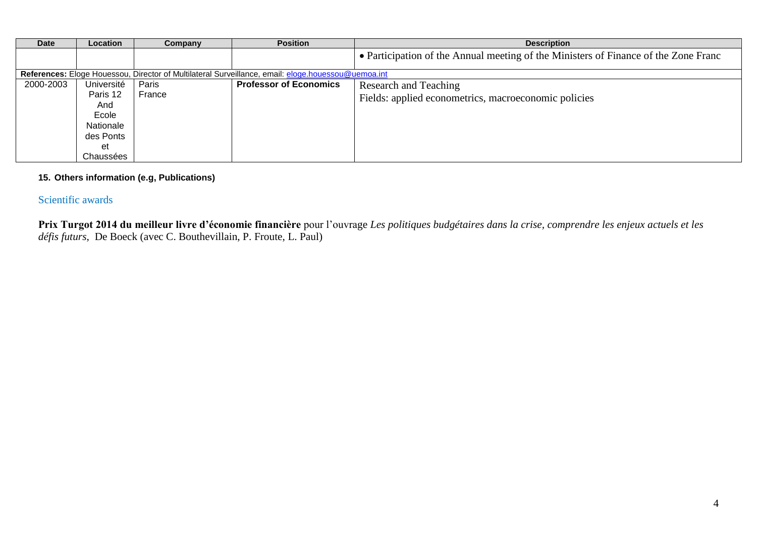| <b>Date</b> | <b>Location</b>                                                                     | Company         | <b>Position</b>                                                                                    | <b>Description</b>                                                                  |
|-------------|-------------------------------------------------------------------------------------|-----------------|----------------------------------------------------------------------------------------------------|-------------------------------------------------------------------------------------|
|             |                                                                                     |                 |                                                                                                    | • Participation of the Annual meeting of the Ministers of Finance of the Zone Franc |
|             |                                                                                     |                 | References: Eloge Houessou, Director of Multilateral Surveillance, email: eloge.houessou@uemoa.int |                                                                                     |
| 2000-2003   | Université<br>Paris 12<br>And<br>Ecole<br>Nationale<br>des Ponts<br>et<br>Chaussées | Paris<br>France | <b>Professor of Economics</b>                                                                      | Research and Teaching<br>Fields: applied econometrics, macroeconomic policies       |

### **15. Others information (e.g, Publications)**

# Scientific awards

**Prix Turgot 2014 du meilleur livre d'économie financière** pour l'ouvrage *Les politiques budgétaires dans la crise, comprendre les enjeux actuels et les défis futurs*, De Boeck (avec C. Bouthevillain, P. Froute, L. Paul)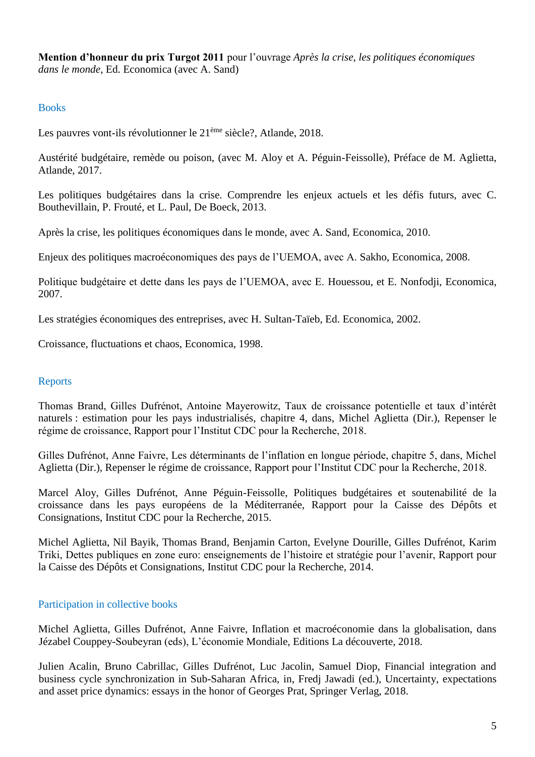**Mention d'honneur du prix Turgot 2011** pour l'ouvrage *Après la crise, les politiques économiques dans le monde*, Ed. Economica (avec A. Sand)

# Books

Les pauvres vont-ils révolutionner le 21<sup>ème</sup> siècle?, Atlande, 2018.

Austérité budgétaire, remède ou poison, (avec M. Aloy et A. Péguin-Feissolle), Préface de M. Aglietta, Atlande, 2017.

Les politiques budgétaires dans la crise. Comprendre les enjeux actuels et les défis futurs, avec C. Bouthevillain, P. Frouté, et L. Paul, De Boeck, 2013.

Après la crise, les politiques économiques dans le monde, avec A. Sand, Economica, 2010.

Enjeux des politiques macroéconomiques des pays de l'UEMOA, avec A. Sakho, Economica, 2008.

Politique budgétaire et dette dans les pays de l'UEMOA, avec E. Houessou, et E. Nonfodji, Economica, 2007.

Les stratégies économiques des entreprises, avec H. Sultan-Taïeb, Ed. Economica, 2002.

Croissance, fluctuations et chaos, Economica, 1998.

# Reports

Thomas Brand, Gilles Dufrénot, Antoine Mayerowitz, Taux de croissance potentielle et taux d'intérêt naturels : estimation pour les pays industrialisés, chapitre 4, dans, Michel Aglietta (Dir.), Repenser le régime de croissance, Rapport pour l'Institut CDC pour la Recherche, 2018.

Gilles Dufrénot, Anne Faivre, Les déterminants de l'inflation en longue période, chapitre 5, dans, Michel Aglietta (Dir.), Repenser le régime de croissance, Rapport pour l'Institut CDC pour la Recherche, 2018.

Marcel Aloy, Gilles Dufrénot, Anne Péguin-Feissolle, Politiques budgétaires et soutenabilité de la croissance dans les pays européens de la Méditerranée, Rapport pour la Caisse des Dépôts et Consignations, Institut CDC pour la Recherche, 2015.

Michel Aglietta, Nil Bayik, Thomas Brand, Benjamin Carton, Evelyne Dourille, Gilles Dufrénot, Karim Triki, Dettes publiques en zone euro: enseignements de l'histoire et stratégie pour l'avenir, Rapport pour la Caisse des Dépôts et Consignations, Institut CDC pour la Recherche, 2014.

# Participation in collective books

Michel Aglietta, Gilles Dufrénot, Anne Faivre, Inflation et macroéconomie dans la globalisation, dans Jézabel Couppey-Soubeyran (eds), L'économie Mondiale, Editions La découverte, 2018.

Julien Acalin, Bruno Cabrillac, Gilles Dufrénot, Luc Jacolin, Samuel Diop, Financial integration and business cycle synchronization in Sub-Saharan Africa, in, Fredj Jawadi (ed.), Uncertainty, expectations and asset price dynamics: essays in the honor of Georges Prat, Springer Verlag, 2018.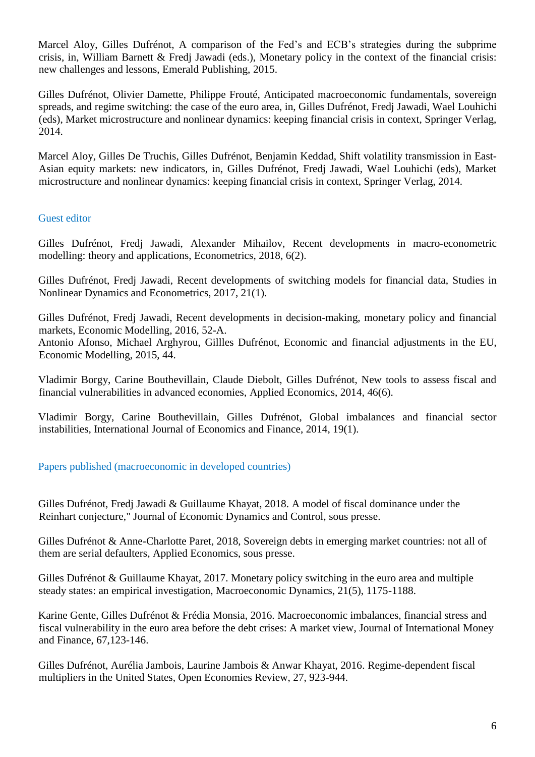Marcel Aloy, Gilles Dufrénot, A comparison of the Fed's and ECB's strategies during the subprime crisis, in, William Barnett & Fredj Jawadi (eds.), Monetary policy in the context of the financial crisis: new challenges and lessons, Emerald Publishing, 2015.

Gilles Dufrénot, Olivier Damette, Philippe Frouté, Anticipated macroeconomic fundamentals, sovereign spreads, and regime switching: the case of the euro area, in, Gilles Dufrénot, Fredj Jawadi, Wael Louhichi (eds), Market microstructure and nonlinear dynamics: keeping financial crisis in context, Springer Verlag, 2014.

Marcel Aloy, Gilles De Truchis, Gilles Dufrénot, Benjamin Keddad, Shift volatility transmission in East-Asian equity markets: new indicators, in, Gilles Dufrénot, Fredj Jawadi, Wael Louhichi (eds), Market microstructure and nonlinear dynamics: keeping financial crisis in context, Springer Verlag, 2014.

# Guest editor

Gilles Dufrénot, Fredj Jawadi, Alexander Mihailov, Recent developments in macro-econometric modelling: theory and applications, Econometrics, 2018, 6(2).

Gilles Dufrénot, Fredj Jawadi, Recent developments of switching models for financial data, Studies in Nonlinear Dynamics and Econometrics, 2017, 21(1).

Gilles Dufrénot, Fredj Jawadi, Recent developments in decision-making, monetary policy and financial markets, Economic Modelling, 2016, 52-A.

Antonio Afonso, Michael Arghyrou, Gillles Dufrénot, Economic and financial adjustments in the EU, Economic Modelling, 2015, 44.

Vladimir Borgy, Carine Bouthevillain, Claude Diebolt, Gilles Dufrénot, New tools to assess fiscal and financial vulnerabilities in advanced economies, Applied Economics, 2014, 46(6).

Vladimir Borgy, Carine Bouthevillain, Gilles Dufrénot, Global imbalances and financial sector instabilities, International Journal of Economics and Finance, 2014, 19(1).

# Papers published (macroeconomic in developed countries)

Gilles Dufrénot, Fredj Jawadi & Guillaume Khayat, 2018. A model of fiscal dominance under the Reinhart conjecture," Journal of Economic Dynamics and Control, sous presse.

Gilles Dufrénot & Anne-Charlotte Paret, 2018, Sovereign debts in emerging market countries: not all of them are serial defaulters, Applied Economics, sous presse.

Gilles Dufrénot & Guillaume Khayat, 2017. Monetary policy switching in the euro area and multiple steady states: an empirical investigation, Macroeconomic Dynamics, 21(5), 1175-1188.

Karine Gente, Gilles Dufrénot & Frédia Monsia, 2016. Macroeconomic imbalances, financial stress and fiscal vulnerability in the euro area before the debt crises: A market view, Journal of International Money and Finance, 67,123-146.

Gilles Dufrénot, Aurélia Jambois, Laurine Jambois & Anwar Khayat, 2016. Regime-dependent fiscal multipliers in the United States, Open Economies Review, 27, 923-944.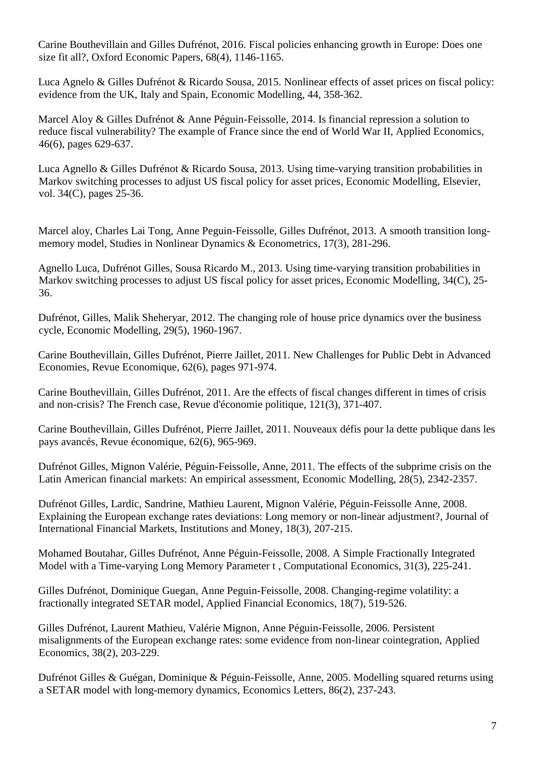Carine Bouthevillain and Gilles Dufrénot, 2016. Fiscal policies enhancing growth in Europe: Does one size fit all?, Oxford Economic Papers, 68(4), 1146-1165.

Luca Agnelo & Gilles Dufrénot & Ricardo Sousa, 2015. [Nonlinear](http://ideas.repec.org/a/taf/applec/v46y2014i6p587-588.html) effects of asset prices on fiscal policy: evidence from the UK, Italy and Spain, [Economic](http://ideas.repec.org/s/taf/applec.html) Modelling, 44, 358-362.

Marcel Aloy & Gilles Dufrénot & Anne Péguin-Feissolle, 2014. [Is financial repression a solution to](http://ideas.repec.org/a/taf/applec/v46y2014i6p629-637.html)  [reduce fiscal vulnerability? The example of France since the end of World War II,](http://ideas.repec.org/a/taf/applec/v46y2014i6p629-637.html) [Applied Economics,](http://ideas.repec.org/s/taf/applec.html) 46(6), pages 629-637.

Luca Agnello & Gilles Dufrénot & Ricardo Sousa, 2013. [Using time-varying transition probabilities in](http://ideas.repec.org/a/eee/ecmode/v34y2013icp25-36.html)  [Markov switching processes to adjust US fiscal policy for asset prices,](http://ideas.repec.org/a/eee/ecmode/v34y2013icp25-36.html) [Economic Modelling,](http://ideas.repec.org/s/eee/ecmode.html) Elsevier, vol. 34(C), pages 25-36.

Marcel aloy, Charles Lai Tong, Anne Peguin-Feissolle, Gilles Dufrénot, 2013. [A smooth transition long](http://ideas.repec.org/a/bpj/sndecm/v17y2013i3p281-296n4.html)[memory model,](http://ideas.repec.org/a/bpj/sndecm/v17y2013i3p281-296n4.html) [Studies in Nonlinear Dynamics & Econometrics,](http://ideas.repec.org/s/bpj/sndecm.html) 17(3), 281-296.

Agnello Luca, Dufrénot Gilles, Sousa Ricardo M., 2013. [Using time-varying transition probabilities in](http://ideas.repec.org/a/eee/ecmode/v34y2013icp25-36.html)  [Markov switching processes to adjust US fiscal policy for asset prices,](http://ideas.repec.org/a/eee/ecmode/v34y2013icp25-36.html) [Economic Modelling,](http://ideas.repec.org/s/eee/ecmode.html) 34(C), 25-36.

Dufrénot, Gilles, Malik Sheheryar, 2012. [The changing role of house price dynamics over the business](http://ideas.repec.org/a/eee/ecmode/v29y2012i5p1960-1967.html)  [cycle,](http://ideas.repec.org/a/eee/ecmode/v29y2012i5p1960-1967.html) [Economic Modelling,](http://ideas.repec.org/s/eee/ecmode.html) 29(5), 1960-1967.

Carine Bouthevillain, Gilles Dufrénot, Pierre Jaillet, 2011. [New Challenges for Public Debt in Advanced](http://ideas.repec.org/a/cai/recosp/reco_626_0971.html)  [Economies,](http://ideas.repec.org/a/cai/recosp/reco_626_0971.html) [Revue Economique,](http://ideas.repec.org/s/cai/recosp.html) 62(6), pages 971-974.

Carine Bouthevillain, Gilles Dufrénot, 2011. [Are the effects of fiscal changes different in times of crisis](http://ideas.repec.org/a/cai/repdal/redp_213_0371.html)  [and non-crisis? The French case,](http://ideas.repec.org/a/cai/repdal/redp_213_0371.html) [Revue d'économie politique,](http://ideas.repec.org/s/cai/repdal.html) 121(3), 371-407.

Carine Bouthevillain, Gilles Dufrénot, Pierre Jaillet, 2011. [Nouveaux défis pour la dette publique dans les](http://ideas.repec.org/a/cai/recosp/reco_626_0965.html)  [pays avancés,](http://ideas.repec.org/a/cai/recosp/reco_626_0965.html) [Revue économique,](http://ideas.repec.org/s/cai/recosp.html) 62(6), 965-969.

Dufrénot Gilles, Mignon Valérie, Péguin-Feissolle, Anne, 2011. [The effects of the subprime crisis on the](http://ideas.repec.org/a/eee/ecmode/v28y2011i5p2342-2357.html)  [Latin American financial markets: An empirical assessment,](http://ideas.repec.org/a/eee/ecmode/v28y2011i5p2342-2357.html) [Economic Modelling,](http://ideas.repec.org/s/eee/ecmode.html) 28(5), 2342-2357.

Dufrénot Gilles, Lardic, Sandrine, Mathieu Laurent, Mignon Valérie, Péguin-Feissolle Anne, 2008. [Explaining the European exchange rates deviations: Long memory or non-linear adjustment?,](http://ideas.repec.org/a/eee/intfin/v18y2008i3p207-215.html) [Journal of](http://ideas.repec.org/s/eee/intfin.html)  [International Financial Markets, Institutions and Money,](http://ideas.repec.org/s/eee/intfin.html) 18(3), 207-215.

Mohamed Boutahar, Gilles Dufrénot, Anne Péguin-Feissolle, 2008. [A Simple Fractionally Integrated](http://ideas.repec.org/a/kap/compec/v31y2008i3p225-241.html)  [Model with a Time-varying Long Memory Parameter t ,](http://ideas.repec.org/a/kap/compec/v31y2008i3p225-241.html) [Computational Economics,](http://ideas.repec.org/s/kap/compec.html) 31(3), 225-241.

Gilles Dufrénot, Dominique Guegan, Anne Peguin-Feissolle, 2008. [Changing-regime volatility: a](http://ideas.repec.org/a/taf/apfiec/v18y2008i7p519-526.html)  [fractionally integrated SETAR model,](http://ideas.repec.org/a/taf/apfiec/v18y2008i7p519-526.html) [Applied Financial Economics,](http://ideas.repec.org/s/taf/apfiec.html) 18(7), 519-526.

Gilles Dufrénot, Laurent Mathieu, Valérie Mignon, Anne Péguin-Feissolle, 2006. [Persistent](http://ideas.repec.org/a/taf/applec/v38y2006i2p203-229.html)  [misalignments of the European exchange rates: some evidence from non-linear cointegration,](http://ideas.repec.org/a/taf/applec/v38y2006i2p203-229.html) [Applied](http://ideas.repec.org/s/taf/applec.html)  [Economics,](http://ideas.repec.org/s/taf/applec.html) 38(2), 203-229.

Dufrénot Gilles & Guégan, Dominique & Péguin-Feissolle, Anne, 2005. [Modelling squared returns using](http://ideas.repec.org/a/eee/ecolet/v86y2005i2p237-243.html)  [a SETAR model with long-memory dynamics,](http://ideas.repec.org/a/eee/ecolet/v86y2005i2p237-243.html) [Economics Letters,](http://ideas.repec.org/s/eee/ecolet.html) 86(2), 237-243.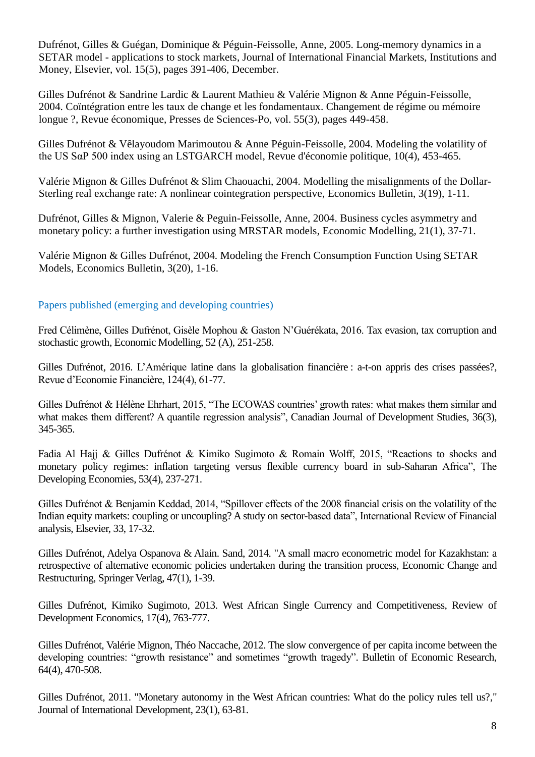Dufrénot, Gilles & Guégan, Dominique & Péguin-Feissolle, Anne, 2005. [Long-memory dynamics in a](http://ideas.repec.org/a/eee/intfin/v15y2005i5p391-406.html)  SETAR model - [applications to stock markets,](http://ideas.repec.org/a/eee/intfin/v15y2005i5p391-406.html) [Journal of International Financial Markets, Institutions and](http://ideas.repec.org/s/eee/intfin.html)  [Money,](http://ideas.repec.org/s/eee/intfin.html) Elsevier, vol. 15(5), pages 391-406, December.

Gilles Dufrénot & Sandrine Lardic & Laurent Mathieu & Valérie Mignon & Anne Péguin-Feissolle, 2004. [Coïntégration entre les taux de change et les fondamentaux. Changement de régime ou mémoire](http://ideas.repec.org/a/cai/recosp/reco_553_0449.html)  [longue ?,](http://ideas.repec.org/a/cai/recosp/reco_553_0449.html) [Revue économique,](http://ideas.repec.org/s/cai/recosp.html) Presses de Sciences-Po, vol. 55(3), pages 449-458.

Gilles Dufrénot & Vêlayoudom Marimoutou & Anne Péguin-Feissolle, 2004. [Modeling the volatility of](http://ideas.repec.org/a/cai/repdal/redp_144_0453.html)  [the US SαP 500 index using an LSTGARCH model,](http://ideas.repec.org/a/cai/repdal/redp_144_0453.html) [Revue d'économie politique,](http://ideas.repec.org/s/cai/repdal.html) 10(4), 453-465.

Valérie Mignon & Gilles Dufrénot & Slim Chaouachi, 2004. [Modelling the misalignments of the Dollar-](http://ideas.repec.org/a/ebl/ecbull/eb-04c20019.html)[Sterling real exchange rate: A nonlinear cointegration perspective,](http://ideas.repec.org/a/ebl/ecbull/eb-04c20019.html) [Economics Bulletin,](http://ideas.repec.org/s/ebl/ecbull.html) 3(19), 1-11.

Dufrénot, Gilles & Mignon, Valerie & Peguin-Feissolle, Anne, 2004. [Business cycles asymmetry and](http://ideas.repec.org/a/eee/ecmode/v21y2004i1p37-71.html)  [monetary policy: a further investigation using MRSTAR models,](http://ideas.repec.org/a/eee/ecmode/v21y2004i1p37-71.html) [Economic Modelling,](http://ideas.repec.org/s/eee/ecmode.html) 21(1), 37-71.

Valérie Mignon & Gilles Dufrénot, 2004. [Modeling the French Consumption Function Using SETAR](http://ideas.repec.org/a/ebl/ecbull/eb-04c20018.html)  [Models,](http://ideas.repec.org/a/ebl/ecbull/eb-04c20018.html) [Economics Bulletin,](http://ideas.repec.org/s/ebl/ecbull.html) 3(20), 1-16.

# Papers published (emerging and developing countries)

Fred Célimène, Gilles Dufrénot, Gisèle Mophou & Gaston N'Guérékata, 2016. [Tax evasion, tax corruption and](http://ideas.repec.org/p/wdi/papers/2013-1043.html)  [stochastic growth,](http://ideas.repec.org/p/wdi/papers/2013-1043.html) Economic Modelling, 52 (A), 251-258.

Gilles Dufrénot, 2016. [L'Amérique](http://ideas.repec.org/p/wdi/papers/2013-1043.html) latine dans la globalisation financière : a-t-on appris des crises passées?, Revue d'Economie Financière, 124(4), 61-77.

Gilles Dufrénot & Hélène Ehrhart, 2015, "The ECOWAS countries' growth rates: what makes them similar and what makes them different? A quantile regression analysis", Canadian Journal of Development Studies, 36(3), 345-365.

Fadia Al Hajj & Gilles Dufrénot & Kimiko Sugimoto & Romain Wolff, 2015, "Reactions to shocks and monetary policy regimes: inflation targeting versus flexible currency board in sub-Saharan Africa", The Developing Economies, 53(4), 237-271.

Gilles Dufrénot & Benjamin Keddad, 2014, "Spillover effects of the 2008 financial crisis on the volatility of the Indian equity markets: coupling or uncoupling? A study on sector-based data", International Review of Financial analysis, Elsevier, 33, 17-32.

Gilles Dufrénot, Adelya Ospanova & Alain. Sand, 2014. ["A small macro econometric model for Kazakhstan: a](http://ideas.repec.org/p/hal/wpaper/halshs-00926223.html)  [retrospective of alternative economic policies undertaken during the transition process,](http://ideas.repec.org/p/hal/wpaper/halshs-00926223.html) Economic Change and Restructuring, Springer Verlag, 47(1), 1-39.

Gilles Dufrénot, Kimiko Sugimoto, 2013. [West African Single Currency and Competitiveness,](http://ideas.repec.org/a/bla/rdevec/v17y2013i4p763-777.html) [Review of](http://ideas.repec.org/s/bla/rdevec.html)  [Development Economics,](http://ideas.repec.org/s/bla/rdevec.html) 17(4), 763-777.

Gilles Dufrénot, Valérie Mignon, Théo Naccache, 2012[. The slow convergence of per capita income between the](http://ideas.repec.org/p/not/notcre/09-03.html)  [developing countries: "growth resistance" and sometimes "growth tragedy".](http://ideas.repec.org/p/not/notcre/09-03.html) Bulletin of Economic Research, 64(4), 470-508.

Gilles Dufrénot, 2011. ["Monetary autonomy in the West African countries: What do the policy rules tell us?,](http://ideas.repec.org/a/wly/jintdv/v23y2011i1p63-81.html)" [Journal of International Development,](http://ideas.repec.org/s/wly/jintdv.html) 23(1), 63-81.